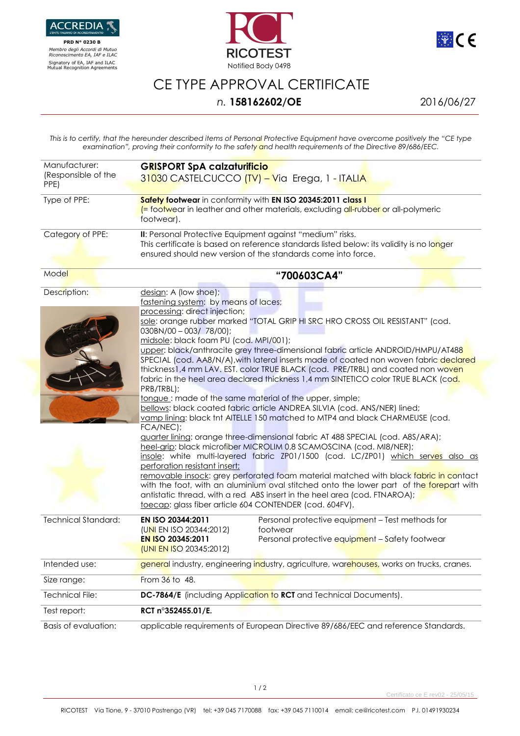

 **PRD N° 0230 B**   *Membro degli Accordi di Mutuo Riconoscimento EA, IAF e ILAC*





## CE TYPE APPROVAL CERTIFICATE

## *n.* **158162602/OE** 2016/06/27

*This is to certify, that the hereunder described items of Personal Protective Equipment have overcome positively the "CE type examination", proving their conformity to the safety and health requirements of the Directive 89/686/EEC.* 

| Manufacturer:<br>(Responsible of the | <b>GRISPORT SpA calzaturificio</b><br>31030 CASTELCUCCO <mark>(TV) – V</mark> ia Erega, 1 - ITALI <mark>A</mark>                                                                                                                                                                                                                                                                                                                                                                                                                                                                                                                                                                                                                                                                                                                                                                                                                                                                                                                                                                                                                                                                                                                                                                                                                                                                                                                                                      |
|--------------------------------------|-----------------------------------------------------------------------------------------------------------------------------------------------------------------------------------------------------------------------------------------------------------------------------------------------------------------------------------------------------------------------------------------------------------------------------------------------------------------------------------------------------------------------------------------------------------------------------------------------------------------------------------------------------------------------------------------------------------------------------------------------------------------------------------------------------------------------------------------------------------------------------------------------------------------------------------------------------------------------------------------------------------------------------------------------------------------------------------------------------------------------------------------------------------------------------------------------------------------------------------------------------------------------------------------------------------------------------------------------------------------------------------------------------------------------------------------------------------------------|
| PPE)                                 |                                                                                                                                                                                                                                                                                                                                                                                                                                                                                                                                                                                                                                                                                                                                                                                                                                                                                                                                                                                                                                                                                                                                                                                                                                                                                                                                                                                                                                                                       |
| Type of PPE:                         | Safety footwear in conformity with EN ISO 20345:2011 class I<br>(= footwear in leather and other materials, excluding all-rubber or all-polymeric<br>footwear).                                                                                                                                                                                                                                                                                                                                                                                                                                                                                                                                                                                                                                                                                                                                                                                                                                                                                                                                                                                                                                                                                                                                                                                                                                                                                                       |
| Category of PPE:                     | II: Personal Protective Equipment against "medium" risks.<br>This certificate is based on reference standards listed below: its validity is no longer<br>ensured should new version of the standards come into force.                                                                                                                                                                                                                                                                                                                                                                                                                                                                                                                                                                                                                                                                                                                                                                                                                                                                                                                                                                                                                                                                                                                                                                                                                                                 |
| Model                                | "700603CA4"                                                                                                                                                                                                                                                                                                                                                                                                                                                                                                                                                                                                                                                                                                                                                                                                                                                                                                                                                                                                                                                                                                                                                                                                                                                                                                                                                                                                                                                           |
| Description:                         | design: A (low shoe);<br>fastening system: by means of laces;<br>processing: direct injection;<br>sole: orange rubber marked "TOTAL GRIP HI SRC HRO CROSS OIL RESISTANT" (cod.<br>$030BN/00 - 003/78/00$ ;<br>midsole: black foam PU (cod. MPI/001);<br>upper: black/anthracite grey three-dimensional fabric article ANDROID/HMPU/AT488<br>SPECIAL (cod. AA8/N/A), with lateral inserts made of coated non woven fabric declared<br>thickness1,4 mm LAV. EST. color TRUE BLACK (cod. PRE/TRBL) and coated non woven<br>fabric in the heel area declared thickness 1,4 mm SINTETICO color TRUE BLACK (cod.<br>PRB/TRBL);<br>tongue: made of the same material of the upper, simple;<br>bellows: black coated fabric article ANDREA SILVIA (cod. ANS/NER) lined;<br>vamp lining: black tnt AITELLE 150 matched to MTP4 and black CHARMEUSE (cod.<br>FCA/NEC);<br>guarter lining: orange three-dimensional fabric AT 488 SPECIAL (cod. A8S/ARA);<br>heel-grip: black microfiber MICROLIM 0,8 SCAMOSCINA (cod. MI8/NER);<br>insole: white multi-layered fabric ZP01/1500 (cod. LC/ZP01) which serves also as<br>perforation resistant insert;<br>removable insock: grey perforated foam material matched with black fabric in contact<br>with the foot, with an aluminium oval stitched onto the lower part of the forepart with<br>antistatic thread, with a red ABS insert in the heel area (cod. FTNAROA);<br>toecap: glass fiber article 604 CONTENDER (cod. 604FV). |
| <b>Technical Standard:</b>           | EN ISO 20344:2011<br>Personal protective equipment - Test methods for<br>footwear<br>(UNI EN ISO 20344:2012)<br>EN ISO 20345:2011<br>Personal protective equipment - Safety footwear<br>(UNI EN ISO 20345:2012)                                                                                                                                                                                                                                                                                                                                                                                                                                                                                                                                                                                                                                                                                                                                                                                                                                                                                                                                                                                                                                                                                                                                                                                                                                                       |
| Intended use:                        | general industry, engineering industry, agriculture, warehouses, works on trucks, cranes.                                                                                                                                                                                                                                                                                                                                                                                                                                                                                                                                                                                                                                                                                                                                                                                                                                                                                                                                                                                                                                                                                                                                                                                                                                                                                                                                                                             |
| Size range:                          | From 36 to 48.                                                                                                                                                                                                                                                                                                                                                                                                                                                                                                                                                                                                                                                                                                                                                                                                                                                                                                                                                                                                                                                                                                                                                                                                                                                                                                                                                                                                                                                        |
| <b>Technical File:</b>               | DC-7864/E (including Application to RCT and Technical Documents).                                                                                                                                                                                                                                                                                                                                                                                                                                                                                                                                                                                                                                                                                                                                                                                                                                                                                                                                                                                                                                                                                                                                                                                                                                                                                                                                                                                                     |
| Test report:                         | RCT n°352455.01/E.                                                                                                                                                                                                                                                                                                                                                                                                                                                                                                                                                                                                                                                                                                                                                                                                                                                                                                                                                                                                                                                                                                                                                                                                                                                                                                                                                                                                                                                    |
| <b>Basis of evaluation:</b>          | applicable requirements of European Directive 89/686/EEC and reference Standards.                                                                                                                                                                                                                                                                                                                                                                                                                                                                                                                                                                                                                                                                                                                                                                                                                                                                                                                                                                                                                                                                                                                                                                                                                                                                                                                                                                                     |